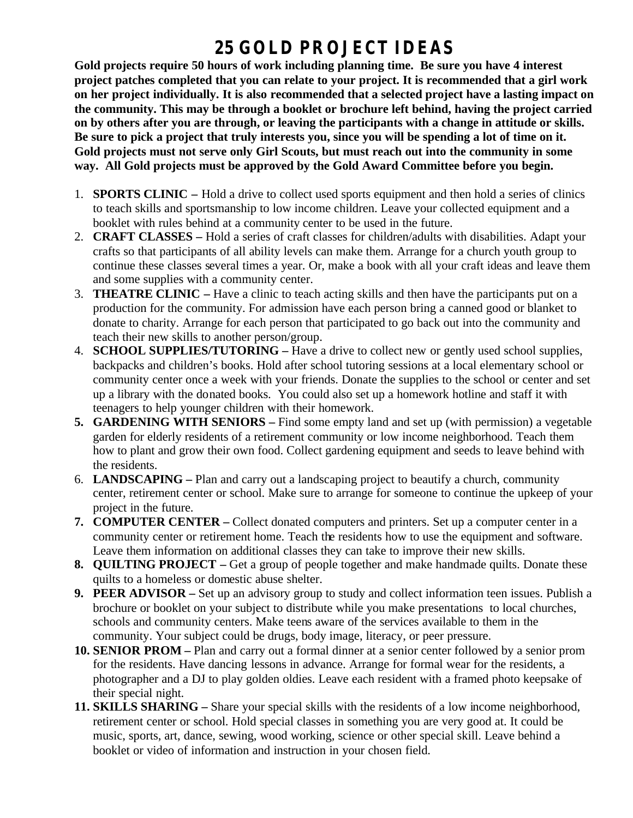## **25 GOLD PROJECT IDEAS**

**Gold projects require 50 hours of work including planning time. Be sure you have 4 interest project patches completed that you can relate to your project. It is recommended that a girl work on her project individually. It is also recommended that a selected project have a lasting impact on the community. This may be through a booklet or brochure left behind, having the project carried on by others after you are through, or leaving the participants with a change in attitude or skills. Be sure to pick a project that truly interests you, since you will be spending a lot of time on it. Gold projects must not serve only Girl Scouts, but must reach out into the community in some way. All Gold projects must be approved by the Gold Award Committee before you begin.**

- 1. **SPORTS CLINIC –** Hold a drive to collect used sports equipment and then hold a series of clinics to teach skills and sportsmanship to low income children. Leave your collected equipment and a booklet with rules behind at a community center to be used in the future.
- 2. **CRAFT CLASSES –** Hold a series of craft classes for children/adults with disabilities. Adapt your crafts so that participants of all ability levels can make them. Arrange for a church youth group to continue these classes several times a year. Or, make a book with all your craft ideas and leave them and some supplies with a community center.
- 3. **THEATRE CLINIC –** Have a clinic to teach acting skills and then have the participants put on a production for the community. For admission have each person bring a canned good or blanket to donate to charity. Arrange for each person that participated to go back out into the community and teach their new skills to another person/group.
- 4. **SCHOOL SUPPLIES/TUTORING –** Have a drive to collect new or gently used school supplies, backpacks and children's books. Hold after school tutoring sessions at a local elementary school or community center once a week with your friends. Donate the supplies to the school or center and set up a library with the donated books. You could also set up a homework hotline and staff it with teenagers to help younger children with their homework.
- **5. GARDENING WITH SENIORS –** Find some empty land and set up (with permission) a vegetable garden for elderly residents of a retirement community or low income neighborhood. Teach them how to plant and grow their own food. Collect gardening equipment and seeds to leave behind with the residents.
- 6. **LANDSCAPING –** Plan and carry out a landscaping project to beautify a church, community center, retirement center or school. Make sure to arrange for someone to continue the upkeep of your project in the future.
- **7. COMPUTER CENTER –** Collect donated computers and printers. Set up a computer center in a community center or retirement home. Teach the residents how to use the equipment and software. Leave them information on additional classes they can take to improve their new skills.
- **8. QUILTING PROJECT –** Get a group of people together and make handmade quilts. Donate these quilts to a homeless or domestic abuse shelter.
- **9. PEER ADVISOR –** Set up an advisory group to study and collect information teen issues. Publish a brochure or booklet on your subject to distribute while you make presentations to local churches, schools and community centers. Make teens aware of the services available to them in the community. Your subject could be drugs, body image, literacy, or peer pressure.
- **10. SENIOR PROM –** Plan and carry out a formal dinner at a senior center followed by a senior prom for the residents. Have dancing lessons in advance. Arrange for formal wear for the residents, a photographer and a DJ to play golden oldies. Leave each resident with a framed photo keepsake of their special night.
- **11. SKILLS SHARING –** Share your special skills with the residents of a low income neighborhood, retirement center or school. Hold special classes in something you are very good at. It could be music, sports, art, dance, sewing, wood working, science or other special skill. Leave behind a booklet or video of information and instruction in your chosen field.